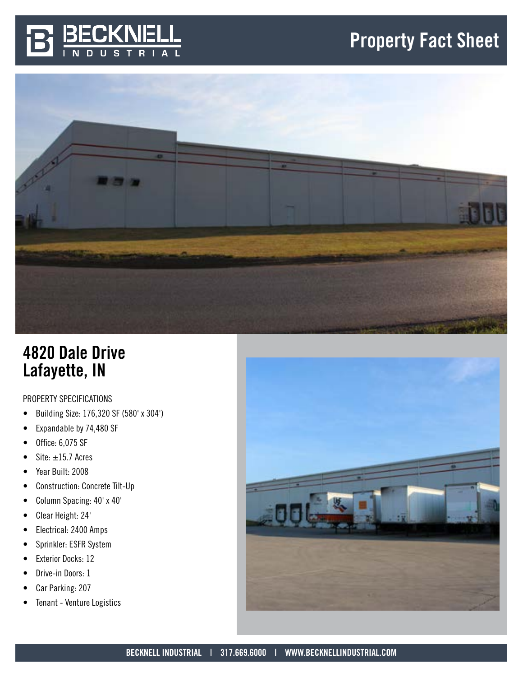





# 4820 Dale Drive Lafayette, IN

# PROPERTY SPECIFICATIONS

- Building Size: 176,320 SF (580' x 304')
- Expandable by 74,480 SF
- Office: 6,075 SF
- Site:  $\pm 15.7$  Acres
- Year Built: 2008
- Construction: Concrete Tilt-Up
- Column Spacing: 40' x 40'
- Clear Height: 24'
- Electrical: 2400 Amps
- Sprinkler: ESFR System
- Exterior Docks: 12
- Drive-in Doors: 1
- Car Parking: 207
- Tenant Venture Logistics